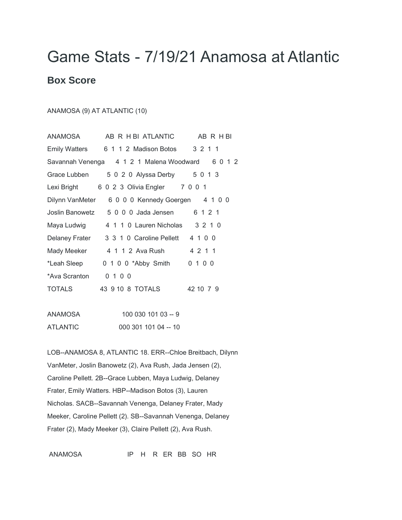## Game Stats - 7/19/21 Anamosa at Atlantic

## **Box Score**

## ANAMOSA (9) AT ATLANTIC (10)

| ANAMOSA         | AB R H BI ATLANTIC                    | AB R H BI |
|-----------------|---------------------------------------|-----------|
|                 | Emily Watters 6 1 1 2 Madison Botos   | 3 2 1 1   |
|                 | Savannah Venenga 4121 Malena Woodward | 6 0 1 2   |
| Grace Lubben    | 5 0 2 0 Alyssa Derby 5 0 1 3          |           |
| Lexi Bright     | 6 0 2 3 Olivia Engler 7 0 0 1         |           |
| Dilynn VanMeter | 6 0 0 0 Kennedy Goergen 4 1 0 0       |           |
| Joslin Banowetz | 5 0 0 0 Jada Jensen                   | 6 1 2 1   |
| Maya Ludwig     | 4 1 1 0 Lauren Nicholas               | 3210      |
| Delaney Frater  | 3 3 1 0 Caroline Pellett              | 4 1 0 0   |
| Mady Meeker     | 4 1 1 2 Ava Rush                      | 4 2 1 1   |
| *Leah Sleep     | 0 1 0 0 *Abby Smith                   | 0 1 0 0   |
| *Ava Scranton   | 0 1 0 0                               |           |
| TOTALS          | 43 9 10 8 TOTALS                      | 42 10 7 9 |
|                 |                                       |           |

| ANAMOSA  | 100 030 101 03 -- 9  |
|----------|----------------------|
| ATLANTIC | 000 301 101 04 -- 10 |

LOB--ANAMOSA 8, ATLANTIC 18. ERR--Chloe Breitbach, Dilynn VanMeter, Joslin Banowetz (2), Ava Rush, Jada Jensen (2), Caroline Pellett. 2B--Grace Lubben, Maya Ludwig, Delaney Frater, Emily Watters. HBP--Madison Botos (3), Lauren Nicholas. SACB--Savannah Venenga, Delaney Frater, Mady Meeker, Caroline Pellett (2). SB--Savannah Venenga, Delaney Frater (2), Mady Meeker (3), Claire Pellett (2), Ava Rush.

ANAMOSA IP H R ER BB SO HR